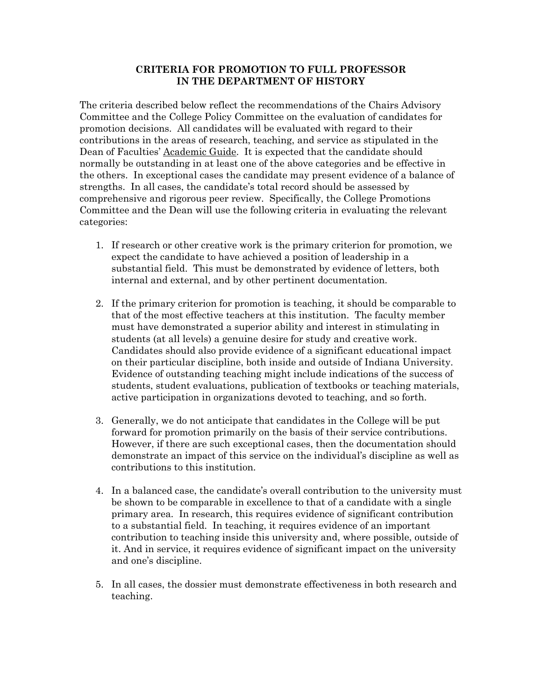## **CRITERIA FOR PROMOTION TO FULL PROFESSOR IN THE DEPARTMENT OF HISTORY**

The criteria described below reflect the recommendations of the Chairs Advisory Committee and the College Policy Committee on the evaluation of candidates for promotion decisions. All candidates will be evaluated with regard to their contributions in the areas of research, teaching, and service as stipulated in the Dean of Faculties' Academic Guide. It is expected that the candidate should normally be outstanding in at least one of the above categories and be effective in the others. In exceptional cases the candidate may present evidence of a balance of strengths. In all cases, the candidate's total record should be assessed by comprehensive and rigorous peer review. Specifically, the College Promotions Committee and the Dean will use the following criteria in evaluating the relevant categories:

- 1. If research or other creative work is the primary criterion for promotion, we expect the candidate to have achieved a position of leadership in a substantial field. This must be demonstrated by evidence of letters, both internal and external, and by other pertinent documentation.
- 2. If the primary criterion for promotion is teaching, it should be comparable to that of the most effective teachers at this institution. The faculty member must have demonstrated a superior ability and interest in stimulating in students (at all levels) a genuine desire for study and creative work. Candidates should also provide evidence of a significant educational impact on their particular discipline, both inside and outside of Indiana University. Evidence of outstanding teaching might include indications of the success of students, student evaluations, publication of textbooks or teaching materials, active participation in organizations devoted to teaching, and so forth.
- 3. Generally, we do not anticipate that candidates in the College will be put forward for promotion primarily on the basis of their service contributions. However, if there are such exceptional cases, then the documentation should demonstrate an impact of this service on the individual's discipline as well as contributions to this institution.
- 4. In a balanced case, the candidate's overall contribution to the university must be shown to be comparable in excellence to that of a candidate with a single primary area. In research, this requires evidence of significant contribution to a substantial field. In teaching, it requires evidence of an important contribution to teaching inside this university and, where possible, outside of it. And in service, it requires evidence of significant impact on the university and one's discipline.
- 5. In all cases, the dossier must demonstrate effectiveness in both research and teaching.